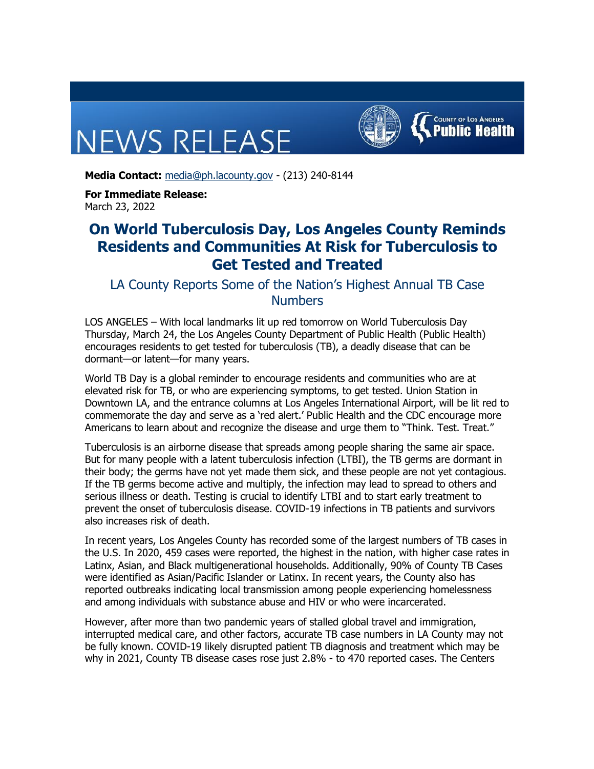## **NEWS RELEASE**



**Media Contact:** [media@ph.lacounty.gov](mailto:media@ph.lacounty.gov) - (213) 240-8144

**For Immediate Release:** March 23, 2022

## **On World Tuberculosis Day, Los Angeles County Reminds Residents and Communities At Risk for Tuberculosis to Get Tested and Treated**

LA County Reports Some of the Nation's Highest Annual TB Case Numbers

LOS ANGELES – With local landmarks lit up red tomorrow on World Tuberculosis Day Thursday, March 24, the Los Angeles County Department of Public Health (Public Health) encourages residents to get tested for tuberculosis (TB), a deadly disease that can be dormant—or latent—for many years.

World TB Day is a global reminder to encourage residents and communities who are at elevated risk for TB, or who are experiencing symptoms, to get tested. Union Station in Downtown LA, and the entrance columns at Los Angeles International Airport, will be lit red to commemorate the day and serve as a 'red alert.' Public Health and the CDC encourage more Americans to learn about and recognize the disease and urge them to "Think. Test. Treat."

Tuberculosis is an airborne disease that spreads among people sharing the same air space. But for many people with a latent tuberculosis infection (LTBI), the TB germs are dormant in their body; the germs have not yet made them sick, and these people are not yet contagious. If the TB germs become active and multiply, the infection may lead to spread to others and serious illness or death. Testing is crucial to identify LTBI and to start early treatment to prevent the onset of tuberculosis disease. COVID-19 infections in TB patients and survivors also increases risk of death.

In recent years, Los Angeles County has recorded some of the largest numbers of TB cases in the U.S. In 2020, 459 cases were reported, the highest in the nation, with higher case rates in Latinx, Asian, and Black multigenerational households. Additionally, 90% of County TB Cases were identified as Asian/Pacific Islander or Latinx. In recent years, the County also has reported outbreaks indicating local transmission among people experiencing homelessness and among individuals with substance abuse and HIV or who were incarcerated.

However, after more than two pandemic years of stalled global travel and immigration, interrupted medical care, and other factors, accurate TB case numbers in LA County may not be fully known. COVID-19 likely disrupted patient TB diagnosis and treatment which may be why in 2021, County TB disease cases rose just 2.8% - to 470 reported cases. The Centers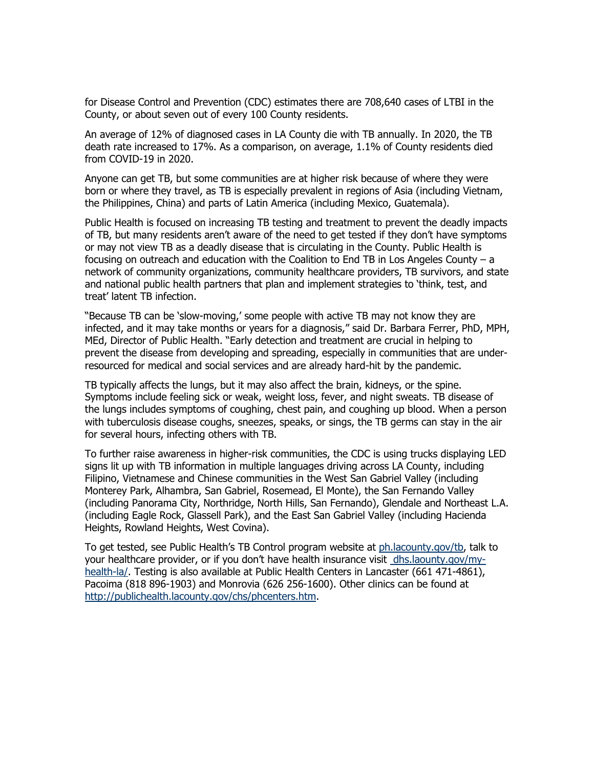for Disease Control and Prevention (CDC) estimates there are 708,640 cases of LTBI in the County, or about seven out of every 100 County residents.

An average of 12% of diagnosed cases in LA County die with TB annually. In 2020, the TB death rate increased to 17%. As a comparison, on average, 1.1% of County residents died from COVID-19 in 2020.

Anyone can get TB, but some communities are at higher risk because of where they were born or where they travel, as TB is especially prevalent in regions of Asia (including Vietnam, the Philippines, China) and parts of Latin America (including Mexico, Guatemala).

Public Health is focused on increasing TB testing and treatment to prevent the deadly impacts of TB, but many residents aren't aware of the need to get tested if they don't have symptoms or may not view TB as a deadly disease that is circulating in the County. Public Health is focusing on outreach and education with the Coalition to End TB in Los Angeles County – a network of community organizations, community healthcare providers, TB survivors, and state and national public health partners that plan and implement strategies to 'think, test, and treat' latent TB infection.

"Because TB can be 'slow-moving,' some people with active TB may not know they are infected, and it may take months or years for a diagnosis," said Dr. Barbara Ferrer, PhD, MPH, MEd, Director of Public Health. "Early detection and treatment are crucial in helping to prevent the disease from developing and spreading, especially in communities that are underresourced for medical and social services and are already hard-hit by the pandemic.

TB typically affects the lungs, but it may also affect the brain, kidneys, or the spine. Symptoms include feeling sick or weak, weight loss, fever, and night sweats. TB disease of the lungs includes symptoms of coughing, chest pain, and coughing up blood. When a person with tuberculosis disease coughs, sneezes, speaks, or sings, the TB germs can stay in the air for several hours, infecting others with TB.

To further raise awareness in higher-risk communities, the CDC is using trucks displaying LED signs lit up with TB information in multiple languages driving across LA County, including Filipino, Vietnamese and Chinese communities in the West San Gabriel Valley (including Monterey Park, Alhambra, San Gabriel, Rosemead, El Monte), the San Fernando Valley (including Panorama City, Northridge, North Hills, San Fernando), Glendale and Northeast L.A. (including Eagle Rock, Glassell Park), and the East San Gabriel Valley (including Hacienda Heights, Rowland Heights, West Covina).

To get tested, see Public Health's TB Control program website at [ph.lacounty.gov/tb](https://lnks.gd/l/eyJhbGciOiJIUzI1NiJ9.eyJidWxsZXRpbl9saW5rX2lkIjoxMDAsInVyaSI6ImJwMjpjbGljayIsImJ1bGxldGluX2lkIjoiMjAyMjAzMjMuNTUzNjM0ODEiLCJ1cmwiOiJodHRwOi8vcGgubGFjb3VudHkuZ292L3RiLz91dG1fY29udGVudD0mdXRtX21lZGl1bT1lbWFpbCZ1dG1fbmFtZT0mdXRtX3NvdXJjZT1nb3ZkZWxpdmVyeSZ1dG1fdGVybT0ifQ.eFgoN9xlW0YFDrsgH4o2T6PCWSY-LuY3A2bZ_tXQIqY/s/860006958/br/128558160160-l), talk to your healthcare provider, or if you don't have health insurance visit [dhs.laounty.gov/my](https://lnks.gd/l/eyJhbGciOiJIUzI1NiJ9.eyJidWxsZXRpbl9saW5rX2lkIjoxMDEsInVyaSI6ImJwMjpjbGljayIsImJ1bGxldGluX2lkIjoiMjAyMjAzMjMuNTUzNjM0ODEiLCJ1cmwiOiJodHRwczovL2Rocy5sYWNvdW50eS5nb3YvbXktaGVhbHRoLWxhLz91dG1fY29udGVudD0mdXRtX21lZGl1bT1lbWFpbCZ1dG1fbmFtZT0mdXRtX3NvdXJjZT1nb3ZkZWxpdmVyeSZ1dG1fdGVybT0ifQ.jQMa9syFtGaob_bPhVu5d8gBPwrCR1VxHDeeTgTKEdE/s/860006958/br/128558160160-l)[health-la/](https://lnks.gd/l/eyJhbGciOiJIUzI1NiJ9.eyJidWxsZXRpbl9saW5rX2lkIjoxMDEsInVyaSI6ImJwMjpjbGljayIsImJ1bGxldGluX2lkIjoiMjAyMjAzMjMuNTUzNjM0ODEiLCJ1cmwiOiJodHRwczovL2Rocy5sYWNvdW50eS5nb3YvbXktaGVhbHRoLWxhLz91dG1fY29udGVudD0mdXRtX21lZGl1bT1lbWFpbCZ1dG1fbmFtZT0mdXRtX3NvdXJjZT1nb3ZkZWxpdmVyeSZ1dG1fdGVybT0ifQ.jQMa9syFtGaob_bPhVu5d8gBPwrCR1VxHDeeTgTKEdE/s/860006958/br/128558160160-l). Testing is also available at Public Health Centers in Lancaster (661 471-4861), Pacoima (818 896-1903) and Monrovia (626 256-1600). Other clinics can be found at [http://publichealth.lacounty.gov/chs/phcenters.htm](https://lnks.gd/l/eyJhbGciOiJIUzI1NiJ9.eyJidWxsZXRpbl9saW5rX2lkIjoxMDIsInVyaSI6ImJwMjpjbGljayIsImJ1bGxldGluX2lkIjoiMjAyMjAzMjMuNTUzNjM0ODEiLCJ1cmwiOiJodHRwOi8vcHVibGljaGVhbHRoLmxhY291bnR5Lmdvdi9jaHMvcGhjZW50ZXJzLmh0bT91dG1fY29udGVudD0mdXRtX21lZGl1bT1lbWFpbCZ1dG1fbmFtZT0mdXRtX3NvdXJjZT1nb3ZkZWxpdmVyeSZ1dG1fdGVybT0ifQ.GHw96i8eJygBZF0w8U-bi-UQumnj1m3C0iap5gCcivw/s/860006958/br/128558160160-l).